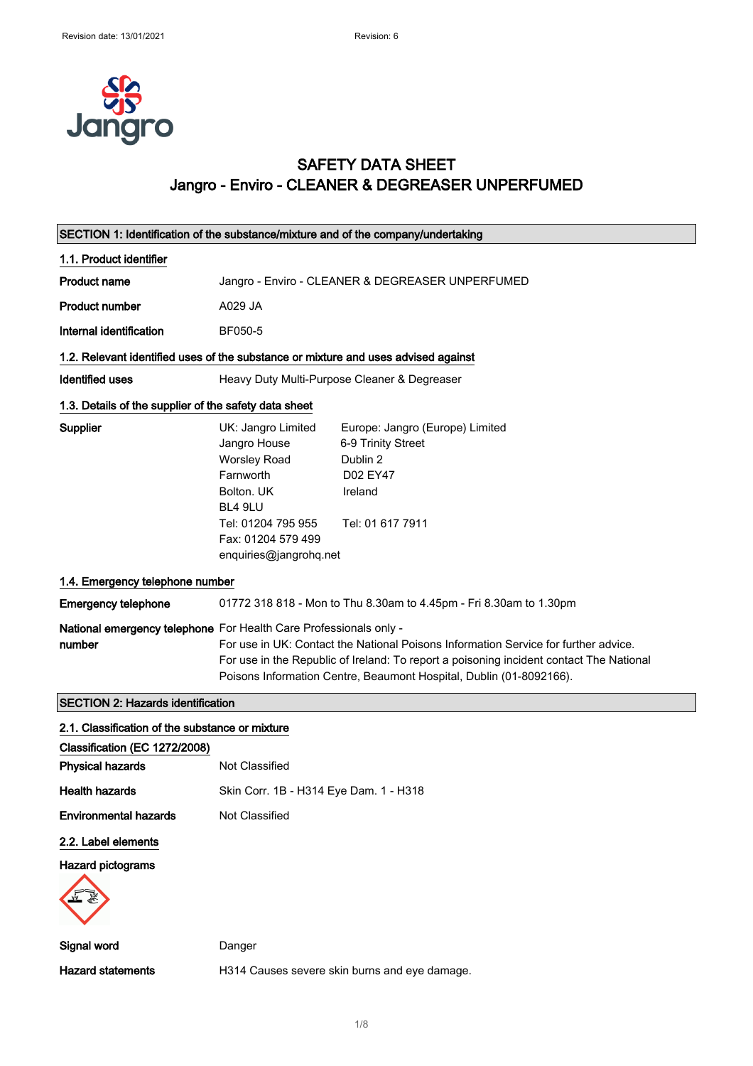

# SAFETY DATA SHEET Jangro - Enviro - CLEANER & DEGREASER UNPERFUMED

| SECTION 1: Identification of the substance/mixture and of the company/undertaking  |                                                                                                                                                                                                                                                                                                                            |                                                                                                              |  |  |  |
|------------------------------------------------------------------------------------|----------------------------------------------------------------------------------------------------------------------------------------------------------------------------------------------------------------------------------------------------------------------------------------------------------------------------|--------------------------------------------------------------------------------------------------------------|--|--|--|
| 1.1. Product identifier                                                            |                                                                                                                                                                                                                                                                                                                            |                                                                                                              |  |  |  |
| Product name                                                                       | Jangro - Enviro - CLEANER & DEGREASER UNPERFUMED                                                                                                                                                                                                                                                                           |                                                                                                              |  |  |  |
| <b>Product number</b>                                                              | A029 JA                                                                                                                                                                                                                                                                                                                    |                                                                                                              |  |  |  |
| Internal identification                                                            | BF050-5                                                                                                                                                                                                                                                                                                                    |                                                                                                              |  |  |  |
| 1.2. Relevant identified uses of the substance or mixture and uses advised against |                                                                                                                                                                                                                                                                                                                            |                                                                                                              |  |  |  |
| <b>Identified uses</b>                                                             | Heavy Duty Multi-Purpose Cleaner & Degreaser                                                                                                                                                                                                                                                                               |                                                                                                              |  |  |  |
|                                                                                    | 1.3. Details of the supplier of the safety data sheet                                                                                                                                                                                                                                                                      |                                                                                                              |  |  |  |
| Supplier                                                                           | UK: Jangro Limited<br>Jangro House<br><b>Worsley Road</b><br>Farnworth<br>Bolton, UK<br>BL4 9LU<br>Tel: 01204 795 955<br>Fax: 01204 579 499<br>enquiries@jangrohq.net                                                                                                                                                      | Europe: Jangro (Europe) Limited<br>6-9 Trinity Street<br>Dublin 2<br>D02 EY47<br>Ireland<br>Tel: 01 617 7911 |  |  |  |
| 1.4. Emergency telephone number                                                    |                                                                                                                                                                                                                                                                                                                            |                                                                                                              |  |  |  |
| <b>Emergency telephone</b>                                                         |                                                                                                                                                                                                                                                                                                                            | 01772 318 818 - Mon to Thu 8.30am to 4.45pm - Fri 8.30am to 1.30pm                                           |  |  |  |
| number                                                                             | National emergency telephone For Health Care Professionals only -<br>For use in UK: Contact the National Poisons Information Service for further advice.<br>For use in the Republic of Ireland: To report a poisoning incident contact The National<br>Poisons Information Centre, Beaumont Hospital, Dublin (01-8092166). |                                                                                                              |  |  |  |
| <b>SECTION 2: Hazards identification</b>                                           |                                                                                                                                                                                                                                                                                                                            |                                                                                                              |  |  |  |
| 2.1. Classification of the substance or mixture                                    |                                                                                                                                                                                                                                                                                                                            |                                                                                                              |  |  |  |
| Classification (EC 1272/2008)                                                      |                                                                                                                                                                                                                                                                                                                            |                                                                                                              |  |  |  |
| <b>Physical hazards</b>                                                            | Not Classified                                                                                                                                                                                                                                                                                                             |                                                                                                              |  |  |  |
| <b>Health hazards</b>                                                              | Skin Corr. 1B - H314 Eye Dam. 1 - H318                                                                                                                                                                                                                                                                                     |                                                                                                              |  |  |  |
| <b>Environmental hazards</b>                                                       | Not Classified                                                                                                                                                                                                                                                                                                             |                                                                                                              |  |  |  |
| 2.2. Label elements                                                                |                                                                                                                                                                                                                                                                                                                            |                                                                                                              |  |  |  |
| <b>Hazard pictograms</b>                                                           |                                                                                                                                                                                                                                                                                                                            |                                                                                                              |  |  |  |
| Signal word                                                                        | Danger                                                                                                                                                                                                                                                                                                                     |                                                                                                              |  |  |  |
| <b>Hazard statements</b>                                                           |                                                                                                                                                                                                                                                                                                                            | H314 Causes severe skin burns and eye damage.                                                                |  |  |  |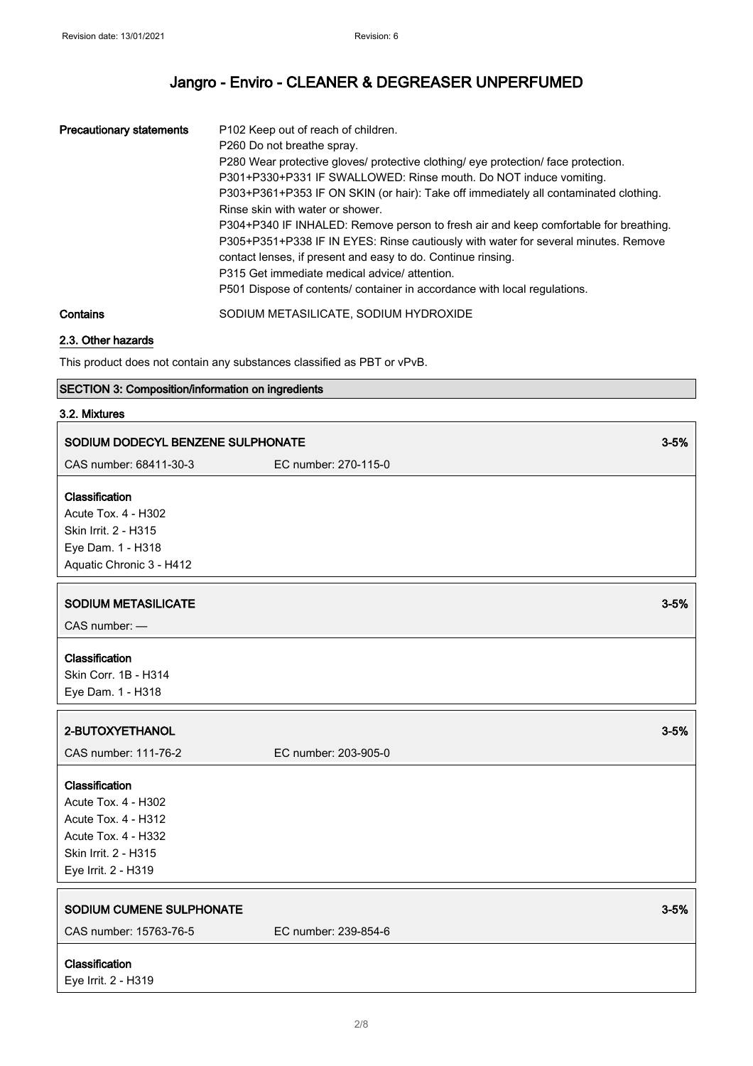| <b>Precautionary statements</b> | P <sub>102</sub> Keep out of reach of children.<br>P <sub>260</sub> Do not breathe spray.<br>P280 Wear protective gloves/ protective clothing/ eye protection/ face protection.<br>P301+P330+P331 IF SWALLOWED: Rinse mouth. Do NOT induce vomiting.<br>P303+P361+P353 IF ON SKIN (or hair): Take off immediately all contaminated clothing.<br>Rinse skin with water or shower.<br>P304+P340 IF INHALED: Remove person to fresh air and keep comfortable for breathing.<br>P305+P351+P338 IF IN EYES: Rinse cautiously with water for several minutes. Remove<br>contact lenses, if present and easy to do. Continue rinsing.<br>P315 Get immediate medical advice/attention.<br>P501 Dispose of contents/ container in accordance with local regulations. |
|---------------------------------|-------------------------------------------------------------------------------------------------------------------------------------------------------------------------------------------------------------------------------------------------------------------------------------------------------------------------------------------------------------------------------------------------------------------------------------------------------------------------------------------------------------------------------------------------------------------------------------------------------------------------------------------------------------------------------------------------------------------------------------------------------------|
| Contains                        | SODIUM METASILICATE, SODIUM HYDROXIDE                                                                                                                                                                                                                                                                                                                                                                                                                                                                                                                                                                                                                                                                                                                       |

### 2.3. Other hazards

This product does not contain any substances classified as PBT or vPvB.

## SECTION 3: Composition/information on ingredients

### 3.2. Mixtures

| SODIUM DODECYL BENZENE SULPHONATE                                                                                                  |                      |          |
|------------------------------------------------------------------------------------------------------------------------------------|----------------------|----------|
| CAS number: 68411-30-3                                                                                                             | EC number: 270-115-0 |          |
| Classification<br><b>Acute Tox. 4 - H302</b><br>Skin Irrit. 2 - H315<br>Eye Dam. 1 - H318<br>Aquatic Chronic 3 - H412              |                      |          |
| <b>SODIUM METASILICATE</b><br>CAS number: -                                                                                        |                      | $3 - 5%$ |
| Classification<br>Skin Corr. 1B - H314<br>Eye Dam. 1 - H318                                                                        |                      |          |
|                                                                                                                                    |                      |          |
| 2-BUTOXYETHANOL                                                                                                                    |                      | $3 - 5%$ |
| CAS number: 111-76-2                                                                                                               | EC number: 203-905-0 |          |
| Classification<br>Acute Tox. 4 - H302<br>Acute Tox. 4 - H312<br>Acute Tox. 4 - H332<br>Skin Irrit. 2 - H315<br>Eye Irrit. 2 - H319 |                      |          |
| SODIUM CUMENE SULPHONATE<br>CAS number: 15763-76-5                                                                                 | EC number: 239-854-6 | $3 - 5%$ |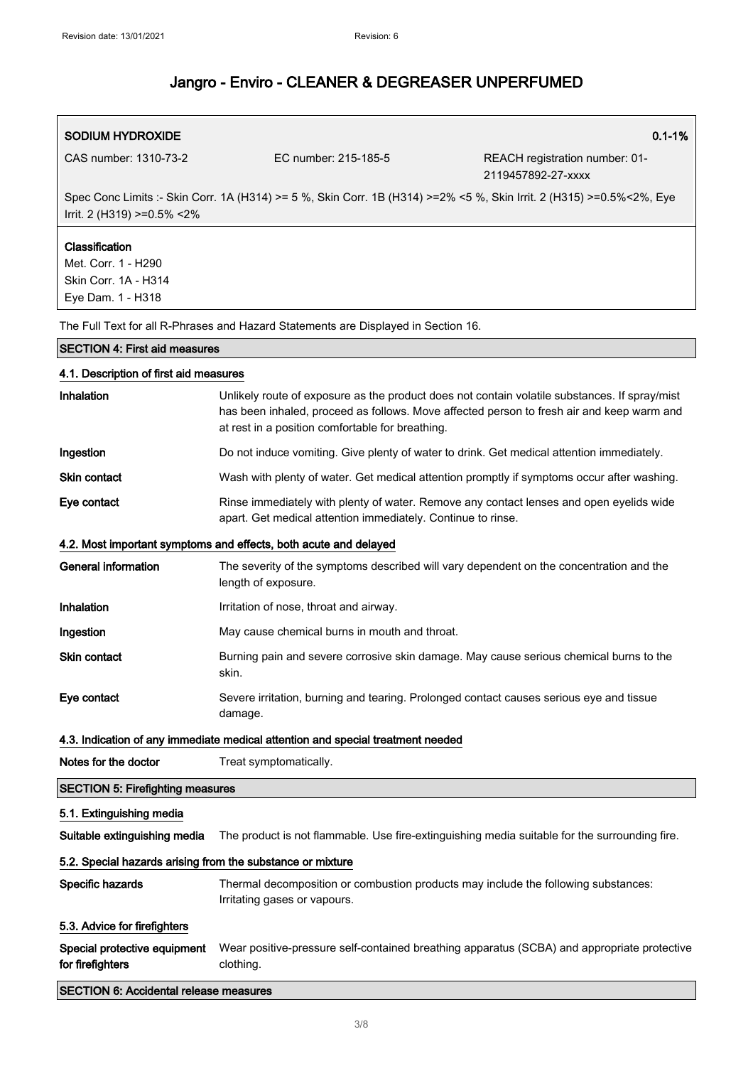| SODIUM HYDROXIDE                             |                                                                                                                      | $0.1 - 1%$                                           |
|----------------------------------------------|----------------------------------------------------------------------------------------------------------------------|------------------------------------------------------|
| CAS number: 1310-73-2                        | EC number: 215-185-5                                                                                                 | REACH registration number: 01-<br>2119457892-27-xxxx |
| Irrit. 2 (H319) $>=0.5\% < 2\%$              | Spec Conc Limits :- Skin Corr. 1A (H314) >= 5 %, Skin Corr. 1B (H314) >=2% <5 %, Skin Irrit. 2 (H315) >=0.5%<2%, Eye |                                                      |
| <b>Classification</b><br>Met. Corr. 1 - H290 |                                                                                                                      |                                                      |

Skin Corr. 1A - H314 Eye Dam. 1 - H318

The Full Text for all R-Phrases and Hazard Statements are Displayed in Section 16.

### SECTION 4: First aid measures

| 4.1. Description of first aid measures                     |                                                                                                                                                                                                                                                |  |  |  |
|------------------------------------------------------------|------------------------------------------------------------------------------------------------------------------------------------------------------------------------------------------------------------------------------------------------|--|--|--|
| Inhalation                                                 | Unlikely route of exposure as the product does not contain volatile substances. If spray/mist<br>has been inhaled, proceed as follows. Move affected person to fresh air and keep warm and<br>at rest in a position comfortable for breathing. |  |  |  |
| Ingestion                                                  | Do not induce vomiting. Give plenty of water to drink. Get medical attention immediately.                                                                                                                                                      |  |  |  |
| Skin contact                                               | Wash with plenty of water. Get medical attention promptly if symptoms occur after washing.                                                                                                                                                     |  |  |  |
| Eye contact                                                | Rinse immediately with plenty of water. Remove any contact lenses and open eyelids wide<br>apart. Get medical attention immediately. Continue to rinse.                                                                                        |  |  |  |
|                                                            | 4.2. Most important symptoms and effects, both acute and delayed                                                                                                                                                                               |  |  |  |
| General information                                        | The severity of the symptoms described will vary dependent on the concentration and the<br>length of exposure.                                                                                                                                 |  |  |  |
| Inhalation                                                 | Irritation of nose, throat and airway.                                                                                                                                                                                                         |  |  |  |
| Ingestion                                                  | May cause chemical burns in mouth and throat.                                                                                                                                                                                                  |  |  |  |
| <b>Skin contact</b>                                        | Burning pain and severe corrosive skin damage. May cause serious chemical burns to the<br>skin.                                                                                                                                                |  |  |  |
| Eye contact                                                | Severe irritation, burning and tearing. Prolonged contact causes serious eye and tissue<br>damage.                                                                                                                                             |  |  |  |
|                                                            | 4.3. Indication of any immediate medical attention and special treatment needed                                                                                                                                                                |  |  |  |
| Notes for the doctor                                       | Treat symptomatically.                                                                                                                                                                                                                         |  |  |  |
| <b>SECTION 5: Firefighting measures</b>                    |                                                                                                                                                                                                                                                |  |  |  |
| 5.1. Extinguishing media                                   |                                                                                                                                                                                                                                                |  |  |  |
| Suitable extinguishing media                               | The product is not flammable. Use fire-extinguishing media suitable for the surrounding fire.                                                                                                                                                  |  |  |  |
| 5.2. Special hazards arising from the substance or mixture |                                                                                                                                                                                                                                                |  |  |  |
| Specific hazards                                           | Thermal decomposition or combustion products may include the following substances:<br>Irritating gases or vapours.                                                                                                                             |  |  |  |
| 5.3. Advice for firefighters                               |                                                                                                                                                                                                                                                |  |  |  |
| Special protective equipment<br>for firefighters           | Wear positive-pressure self-contained breathing apparatus (SCBA) and appropriate protective<br>clothing.                                                                                                                                       |  |  |  |
| <b>SECTION 6: Accidental release measures</b>              |                                                                                                                                                                                                                                                |  |  |  |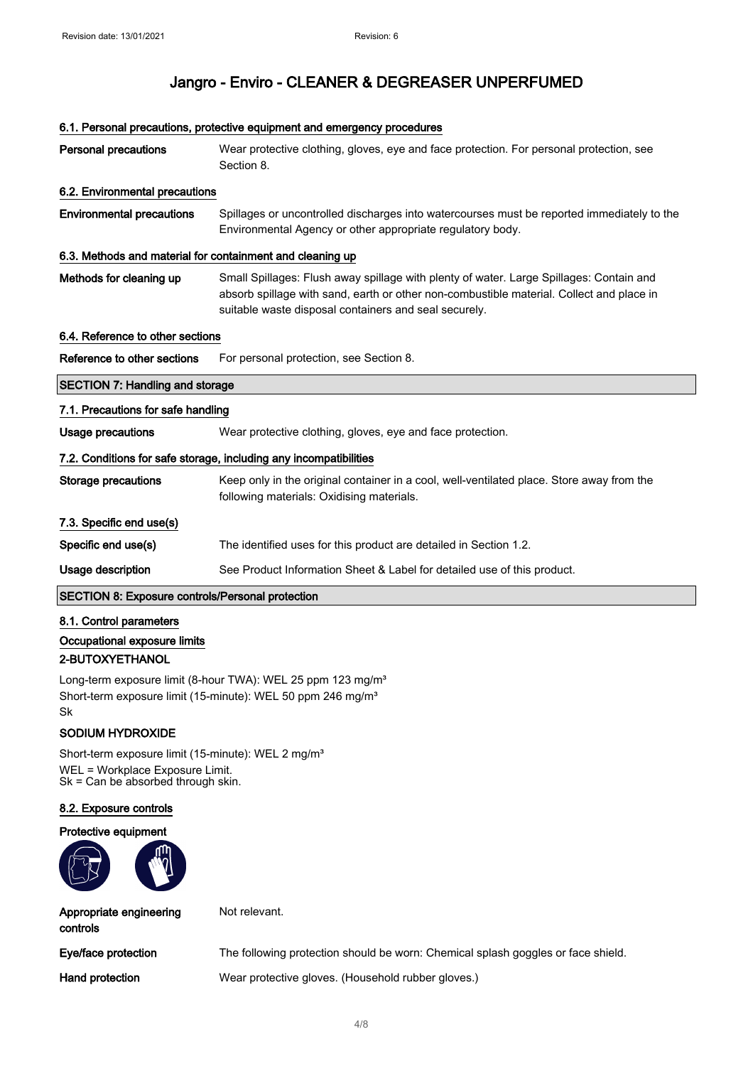#### 6.1. Personal precautions, protective equipment and emergency procedures

| <b>Personal precautions</b>                               | Wear protective clothing, gloves, eye and face protection. For personal protection, see<br>Section 8.                                                                                                                                        |  |  |  |
|-----------------------------------------------------------|----------------------------------------------------------------------------------------------------------------------------------------------------------------------------------------------------------------------------------------------|--|--|--|
| 6.2. Environmental precautions                            |                                                                                                                                                                                                                                              |  |  |  |
| <b>Environmental precautions</b>                          | Spillages or uncontrolled discharges into watercourses must be reported immediately to the<br>Environmental Agency or other appropriate regulatory body.                                                                                     |  |  |  |
| 6.3. Methods and material for containment and cleaning up |                                                                                                                                                                                                                                              |  |  |  |
| Methods for cleaning up                                   | Small Spillages: Flush away spillage with plenty of water. Large Spillages: Contain and<br>absorb spillage with sand, earth or other non-combustible material. Collect and place in<br>suitable waste disposal containers and seal securely. |  |  |  |
|                                                           | 6.4. Reference to other sections                                                                                                                                                                                                             |  |  |  |
| Reference to other sections                               | For personal protection, see Section 8.                                                                                                                                                                                                      |  |  |  |
| <b>SECTION 7: Handling and storage</b>                    |                                                                                                                                                                                                                                              |  |  |  |
| 7.1. Precautions for safe handling                        |                                                                                                                                                                                                                                              |  |  |  |
| <b>Usage precautions</b>                                  | Wear protective clothing, gloves, eye and face protection.                                                                                                                                                                                   |  |  |  |
|                                                           | 7.2. Conditions for safe storage, including any incompatibilities                                                                                                                                                                            |  |  |  |
| <b>Storage precautions</b>                                | Keep only in the original container in a cool, well-ventilated place. Store away from the<br>following materials: Oxidising materials.                                                                                                       |  |  |  |
| 7.3. Specific end use(s)                                  |                                                                                                                                                                                                                                              |  |  |  |
| Specific end use(s)                                       | The identified uses for this product are detailed in Section 1.2.                                                                                                                                                                            |  |  |  |
| Usage description                                         | See Product Information Sheet & Label for detailed use of this product.                                                                                                                                                                      |  |  |  |
| <b>SECTION 8: Exposure controls/Personal protection</b>   |                                                                                                                                                                                                                                              |  |  |  |

8.1. Control parameters Occupational exposure limits 2-BUTOXYETHANOL

Long-term exposure limit (8-hour TWA): WEL 25 ppm 123 mg/m<sup>3</sup> Short-term exposure limit (15-minute): WEL 50 ppm 246 mg/m<sup>3</sup> Sk

## SODIUM HYDROXIDE

Short-term exposure limit (15-minute): WEL 2 mg/m<sup>3</sup> WEL = Workplace Exposure Limit. Sk = Can be absorbed through skin.

#### 8.2. Exposure controls

#### Protective equipment



Appropriate engineering

Not relevant.

controls

Eye/face protection The following protection should be worn: Chemical splash goggles or face shield.

Hand protection Wear protective gloves. (Household rubber gloves.)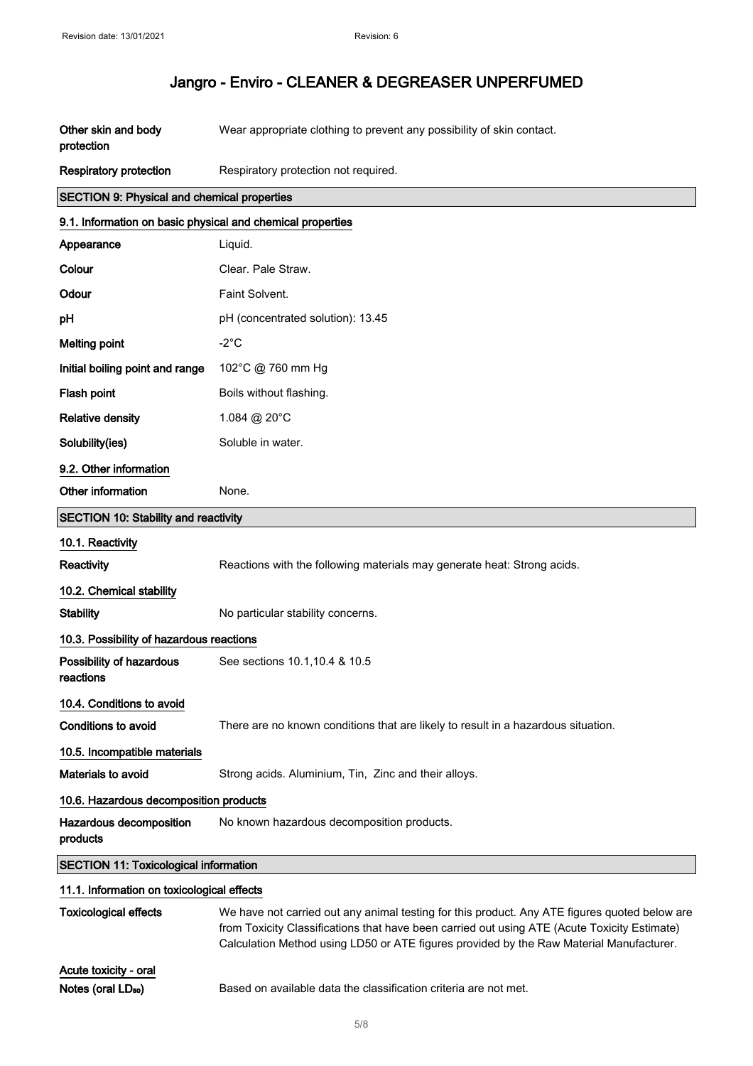| Other skin and body<br>protection                          | Wear appropriate clothing to prevent any possibility of skin contact.                                                                                                                                                                                                                    |  |  |
|------------------------------------------------------------|------------------------------------------------------------------------------------------------------------------------------------------------------------------------------------------------------------------------------------------------------------------------------------------|--|--|
| <b>Respiratory protection</b>                              | Respiratory protection not required.                                                                                                                                                                                                                                                     |  |  |
| <b>SECTION 9: Physical and chemical properties</b>         |                                                                                                                                                                                                                                                                                          |  |  |
| 9.1. Information on basic physical and chemical properties |                                                                                                                                                                                                                                                                                          |  |  |
| Appearance                                                 | Liquid.                                                                                                                                                                                                                                                                                  |  |  |
| Colour                                                     | Clear. Pale Straw.                                                                                                                                                                                                                                                                       |  |  |
| Odour                                                      | Faint Solvent.                                                                                                                                                                                                                                                                           |  |  |
| рH                                                         | pH (concentrated solution): 13.45                                                                                                                                                                                                                                                        |  |  |
| <b>Melting point</b>                                       | $-2^{\circ}C$                                                                                                                                                                                                                                                                            |  |  |
| Initial boiling point and range                            | 102°C @ 760 mm Hg                                                                                                                                                                                                                                                                        |  |  |
| Flash point                                                | Boils without flashing.                                                                                                                                                                                                                                                                  |  |  |
| <b>Relative density</b>                                    | 1.084 @ 20°C                                                                                                                                                                                                                                                                             |  |  |
| Solubility(ies)                                            | Soluble in water.                                                                                                                                                                                                                                                                        |  |  |
| 9.2. Other information                                     |                                                                                                                                                                                                                                                                                          |  |  |
| Other information                                          | None.                                                                                                                                                                                                                                                                                    |  |  |
| <b>SECTION 10: Stability and reactivity</b>                |                                                                                                                                                                                                                                                                                          |  |  |
| 10.1. Reactivity                                           |                                                                                                                                                                                                                                                                                          |  |  |
| Reactivity                                                 | Reactions with the following materials may generate heat: Strong acids.                                                                                                                                                                                                                  |  |  |
| 10.2. Chemical stability                                   |                                                                                                                                                                                                                                                                                          |  |  |
| <b>Stability</b>                                           | No particular stability concerns.                                                                                                                                                                                                                                                        |  |  |
| 10.3. Possibility of hazardous reactions                   |                                                                                                                                                                                                                                                                                          |  |  |
| Possibility of hazardous<br>reactions                      | See sections 10.1, 10.4 & 10.5                                                                                                                                                                                                                                                           |  |  |
| 10.4. Conditions to avoid                                  |                                                                                                                                                                                                                                                                                          |  |  |
| Conditions to avoid                                        | There are no known conditions that are likely to result in a hazardous situation.                                                                                                                                                                                                        |  |  |
| 10.5. Incompatible materials                               |                                                                                                                                                                                                                                                                                          |  |  |
| <b>Materials to avoid</b>                                  | Strong acids. Aluminium, Tin, Zinc and their alloys.                                                                                                                                                                                                                                     |  |  |
| 10.6. Hazardous decomposition products                     |                                                                                                                                                                                                                                                                                          |  |  |
| Hazardous decomposition<br>products                        | No known hazardous decomposition products.                                                                                                                                                                                                                                               |  |  |
| <b>SECTION 11: Toxicological information</b>               |                                                                                                                                                                                                                                                                                          |  |  |
| 11.1. Information on toxicological effects                 |                                                                                                                                                                                                                                                                                          |  |  |
| <b>Toxicological effects</b>                               | We have not carried out any animal testing for this product. Any ATE figures quoted below are<br>from Toxicity Classifications that have been carried out using ATE (Acute Toxicity Estimate)<br>Calculation Method using LD50 or ATE figures provided by the Raw Material Manufacturer. |  |  |
| Acute toxicity - oral                                      |                                                                                                                                                                                                                                                                                          |  |  |
| Notes (oral LD <sub>50</sub> )                             | Based on available data the classification criteria are not met.                                                                                                                                                                                                                         |  |  |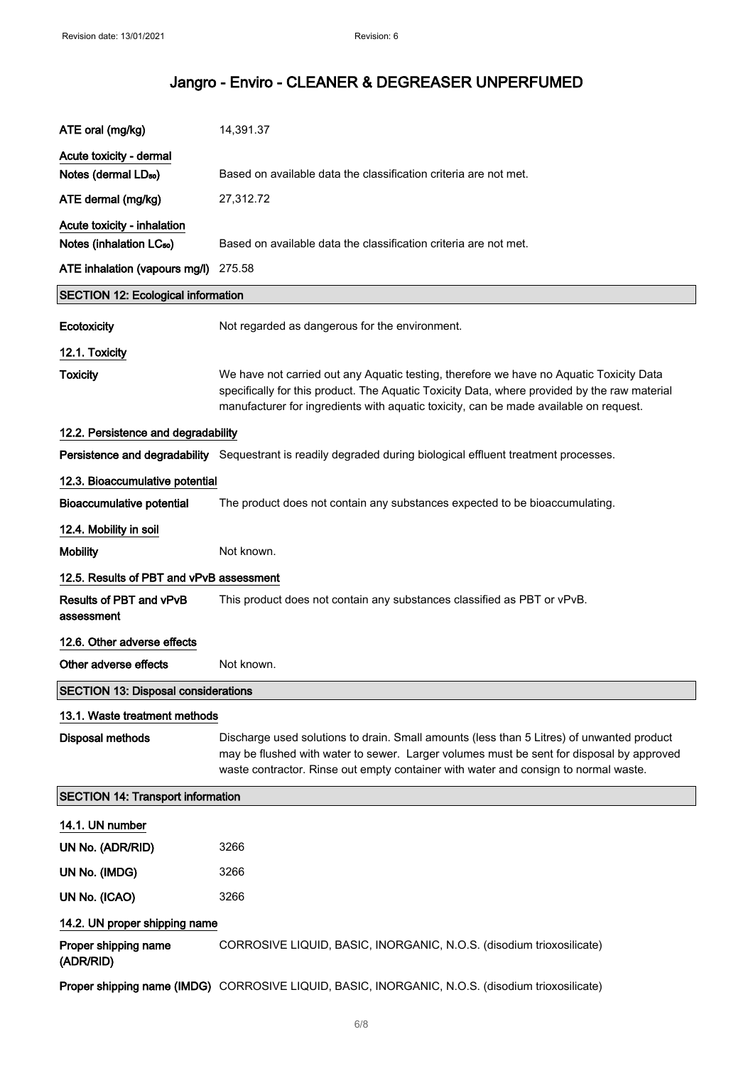| ATE oral (mg/kg)                           | 14,391.37                                                                                                                                                                                                                                                                        |  |  |
|--------------------------------------------|----------------------------------------------------------------------------------------------------------------------------------------------------------------------------------------------------------------------------------------------------------------------------------|--|--|
| Acute toxicity - dermal                    |                                                                                                                                                                                                                                                                                  |  |  |
| Notes (dermal LD <sub>50</sub> )           | Based on available data the classification criteria are not met.                                                                                                                                                                                                                 |  |  |
| ATE dermal (mg/kg)                         | 27,312.72                                                                                                                                                                                                                                                                        |  |  |
| Acute toxicity - inhalation                |                                                                                                                                                                                                                                                                                  |  |  |
| Notes (inhalation LC <sub>50</sub> )       | Based on available data the classification criteria are not met.                                                                                                                                                                                                                 |  |  |
| ATE inhalation (vapours mg/l) 275.58       |                                                                                                                                                                                                                                                                                  |  |  |
| <b>SECTION 12: Ecological information</b>  |                                                                                                                                                                                                                                                                                  |  |  |
| Ecotoxicity                                | Not regarded as dangerous for the environment.                                                                                                                                                                                                                                   |  |  |
| 12.1. Toxicity                             |                                                                                                                                                                                                                                                                                  |  |  |
| <b>Toxicity</b>                            | We have not carried out any Aquatic testing, therefore we have no Aquatic Toxicity Data<br>specifically for this product. The Aquatic Toxicity Data, where provided by the raw material<br>manufacturer for ingredients with aquatic toxicity, can be made available on request. |  |  |
| 12.2. Persistence and degradability        |                                                                                                                                                                                                                                                                                  |  |  |
|                                            | Persistence and degradability Sequestrant is readily degraded during biological effluent treatment processes.                                                                                                                                                                    |  |  |
| 12.3. Bioaccumulative potential            |                                                                                                                                                                                                                                                                                  |  |  |
| <b>Bioaccumulative potential</b>           | The product does not contain any substances expected to be bioaccumulating.                                                                                                                                                                                                      |  |  |
| 12.4. Mobility in soil                     |                                                                                                                                                                                                                                                                                  |  |  |
| <b>Mobility</b>                            | Not known.                                                                                                                                                                                                                                                                       |  |  |
| 12.5. Results of PBT and vPvB assessment   |                                                                                                                                                                                                                                                                                  |  |  |
| Results of PBT and vPvB<br>assessment      | This product does not contain any substances classified as PBT or vPvB.                                                                                                                                                                                                          |  |  |
| 12.6. Other adverse effects                |                                                                                                                                                                                                                                                                                  |  |  |
| Other adverse effects                      | Not known.                                                                                                                                                                                                                                                                       |  |  |
| <b>SECTION 13: Disposal considerations</b> |                                                                                                                                                                                                                                                                                  |  |  |
| 13.1. Waste treatment methods              |                                                                                                                                                                                                                                                                                  |  |  |
| <b>Disposal methods</b>                    | Discharge used solutions to drain. Small amounts (less than 5 Litres) of unwanted product<br>may be flushed with water to sewer. Larger volumes must be sent for disposal by approved<br>waste contractor. Rinse out empty container with water and consign to normal waste.     |  |  |
| <b>SECTION 14: Transport information</b>   |                                                                                                                                                                                                                                                                                  |  |  |
| 14.1. UN number                            |                                                                                                                                                                                                                                                                                  |  |  |
| UN No. (ADR/RID)                           | 3266                                                                                                                                                                                                                                                                             |  |  |
| UN No. (IMDG)                              | 3266                                                                                                                                                                                                                                                                             |  |  |
| UN No. (ICAO)                              | 3266                                                                                                                                                                                                                                                                             |  |  |
| 14.2. UN proper shipping name              |                                                                                                                                                                                                                                                                                  |  |  |
| Proper shipping name<br>(ADR/RID)          | CORROSIVE LIQUID, BASIC, INORGANIC, N.O.S. (disodium trioxosilicate)                                                                                                                                                                                                             |  |  |
|                                            | Proper shipping name (IMDG) CORROSIVE LIQUID, BASIC, INORGANIC, N.O.S. (disodium trioxosilicate)                                                                                                                                                                                 |  |  |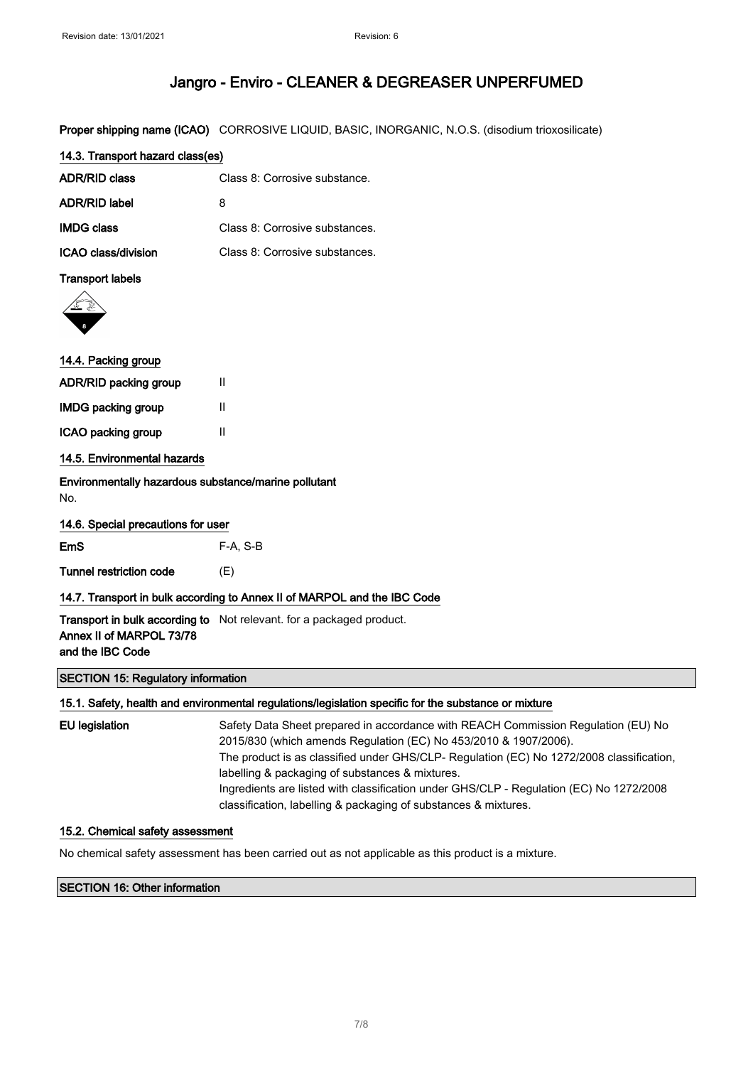Proper shipping name (ICAO) CORROSIVE LIQUID, BASIC, INORGANIC, N.O.S. (disodium trioxosilicate)

| 14.3. Transport hazard class(es) |                                |  |  |
|----------------------------------|--------------------------------|--|--|
| ADR/RID class                    | Class 8: Corrosive substance.  |  |  |
| ADR/RID label                    | 8                              |  |  |
| <b>IMDG class</b>                | Class 8: Corrosive substances. |  |  |
| ICAO class/division              | Class 8: Corrosive substances. |  |  |

### Transport labels



# 14.4. Packing group

| ADR/RID packing group       | Ш |
|-----------------------------|---|
| <b>IMDG packing group</b>   | Ш |
| ICAO packing group          | Ш |
| 14.5. Environmental hazards |   |

Environmentally hazardous substance/marine pollutant No.

|  | 14.6. Special precautions for user |  |
|--|------------------------------------|--|
|  |                                    |  |

| <b>EmS</b>              | F-A. S-B |
|-------------------------|----------|
| Tunnel restriction code | (E)      |

### 14.7. Transport in bulk according to Annex II of MARPOL and the IBC Code

**Transport in bulk according to** Not relevant. for a packaged product. Annex II of MARPOL 73/78 and the IBC Code

## SECTION 15: Regulatory information

#### 15.1. Safety, health and environmental regulations/legislation specific for the substance or mixture

| EU legislation | Safety Data Sheet prepared in accordance with REACH Commission Regulation (EU) No        |
|----------------|------------------------------------------------------------------------------------------|
|                | 2015/830 (which amends Regulation (EC) No 453/2010 & 1907/2006).                         |
|                | The product is as classified under GHS/CLP- Regulation (EC) No 1272/2008 classification, |
|                | labelling & packaging of substances & mixtures.                                          |
|                | Ingredients are listed with classification under GHS/CLP - Regulation (EC) No 1272/2008  |
|                | classification, labelling & packaging of substances & mixtures.                          |

### 15.2. Chemical safety assessment

No chemical safety assessment has been carried out as not applicable as this product is a mixture.

### SECTION 16: Other information